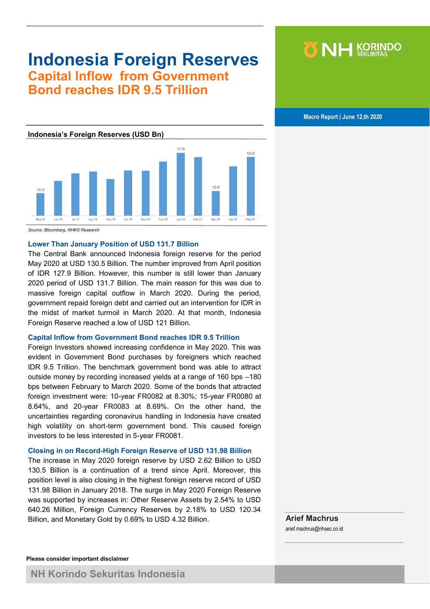# **Indonesia Foreign Reserves Capital Inflow from Government Bond reaches IDR 9.5 Trillion**





*Source: Bloomberg, NHKS Research*

**Lower Than January Position of USD 131.7 Billion** 

The Central Bank announced Indonesia foreign reserve for the period May 2020 at USD 130.5 Billion. The number improved from April position of IDR 127.9 Billion. However, this number is still lower than January 2020 period of USD 131.7 Billion. The main reason for this was due to massive foreign capital outflow in March 2020. During the period, government repaid foreign debt and carried out an intervention for IDR in the midst of market turmoil in March 2020. At that month, Indonesia Foreign Reserve reached a low of USD 121 Billion.

## **Capital Inflow from Government Bond reaches IDR 9.5 Trillion**

Foreign Investors showed increasing confidence in May 2020. This was evident in Government Bond purchases by foreigners which reached IDR 9.5 Trillion. The benchmark government bond was able to attract outside money by recording increased yields at a range of 160 bps –180 bps between February to March 2020. Some of the bonds that attracted foreign investment were: 10-year FR0082 at 8.30%; 15-year FR0080 at 8.64%, and 20-year FR0083 at 8.69%. On the other hand, the uncertainties regarding coronavirus handling in Indonesia have created high volatility on short-term government bond. This caused foreign investors to be less interested in 5-year FR0081.

### **Closing in on Record-High Foreign Reserve of USD 131.98 Billion**

The increase in May 2020 foreign reserve by USD 2.62 Billion to USD 130.5 Billion is a continuation of a trend since April. Moreover, this position level is also closing in the highest foreign reserve record of USD 131.98 Billion in January 2018. The surge in May 2020 Foreign Reserve was supported by increases in: Other Reserve Assets by 2.54% to USD 640.26 Million, Foreign Currency Reserves by 2.18% to USD 120.34 Billion, and Monetary Gold by 0.69% to USD 4.32 Billion.

# NH KORINDO

 **Macro Report | June 12,th 2020**

**Arief Machrus**  arief.machrus@nhsec.co.id

**Please consider important disclaimer**